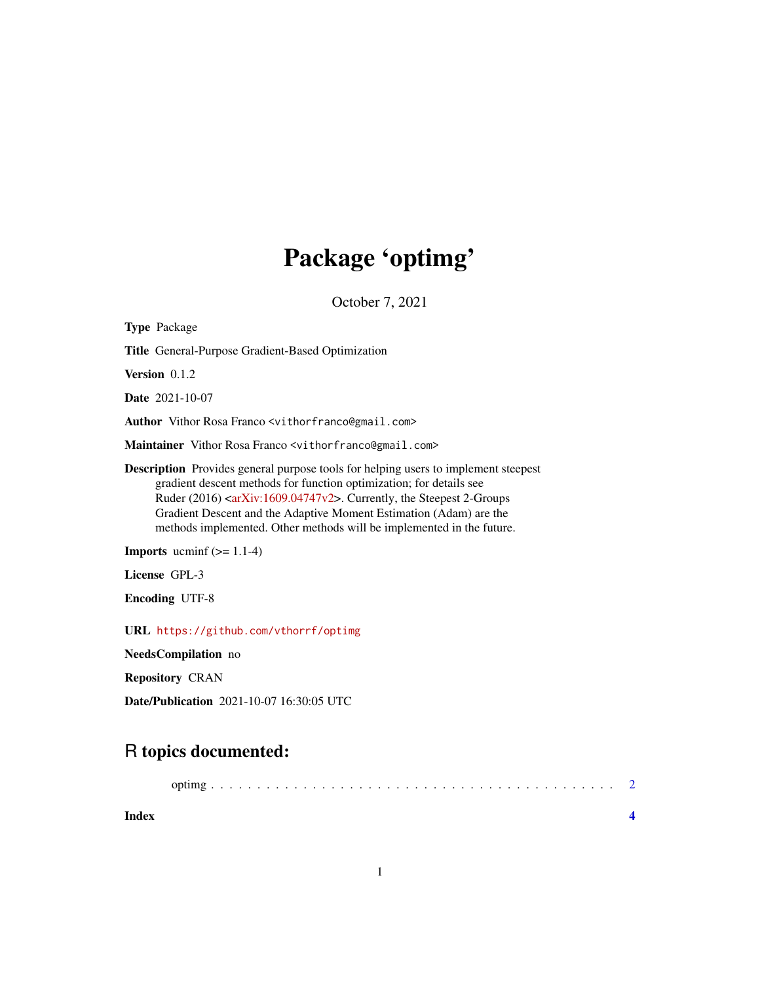## Package 'optimg'

October 7, 2021

| <b>Type Package</b>                                                                                                                                                                                                                                                                                                                                                                                                         |
|-----------------------------------------------------------------------------------------------------------------------------------------------------------------------------------------------------------------------------------------------------------------------------------------------------------------------------------------------------------------------------------------------------------------------------|
| <b>Title</b> General-Purpose Gradient-Based Optimization                                                                                                                                                                                                                                                                                                                                                                    |
| <b>Version</b> 0.1.2                                                                                                                                                                                                                                                                                                                                                                                                        |
| <b>Date</b> 2021-10-07                                                                                                                                                                                                                                                                                                                                                                                                      |
| Author Vithor Rosa Franco <vithorfranco@gmail.com></vithorfranco@gmail.com>                                                                                                                                                                                                                                                                                                                                                 |
| Maintainer Vithor Rosa Franco <vithorfranco@gmail.com></vithorfranco@gmail.com>                                                                                                                                                                                                                                                                                                                                             |
| <b>Description</b> Provides general purpose tools for helping users to implement steepest<br>gradient descent methods for function optimization; for details see<br>Ruder $(2016)$ <arxiv:1609.04747<math>v2&gt;. Currently, the Steepest 2-Groups<br/>Gradient Descent and the Adaptive Moment Estimation (Adam) are the<br/>methods implemented. Other methods will be implemented in the future.</arxiv:1609.04747<math> |
| <b>Imports</b> ucminf $(>= 1.1-4)$                                                                                                                                                                                                                                                                                                                                                                                          |
| License GPL-3                                                                                                                                                                                                                                                                                                                                                                                                               |
| <b>Encoding UTF-8</b>                                                                                                                                                                                                                                                                                                                                                                                                       |
| URL https://github.com/vthorrf/optimg                                                                                                                                                                                                                                                                                                                                                                                       |
| NeedsCompilation no                                                                                                                                                                                                                                                                                                                                                                                                         |

Repository CRAN

Date/Publication 2021-10-07 16:30:05 UTC

### R topics documented:

| Index |  |
|-------|--|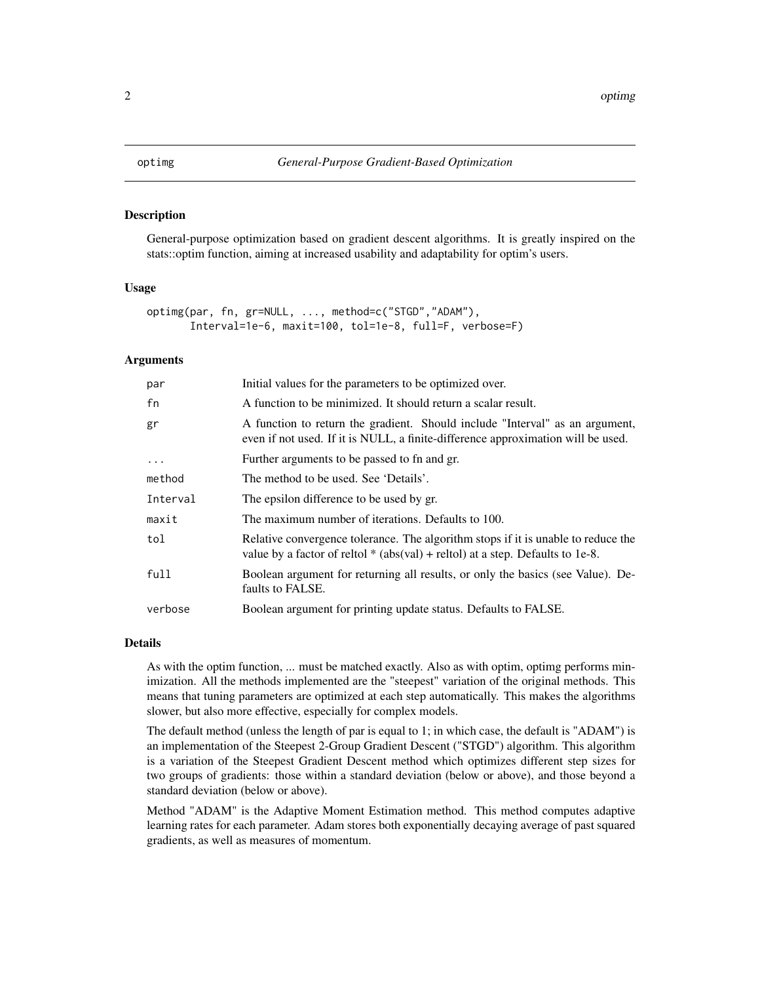<span id="page-1-0"></span>

#### Description

General-purpose optimization based on gradient descent algorithms. It is greatly inspired on the stats::optim function, aiming at increased usability and adaptability for optim's users.

#### Usage

```
optimg(par, fn, gr=NULL, ..., method=c("STGD","ADAM"),
       Interval=1e-6, maxit=100, tol=1e-8, full=F, verbose=F)
```
#### Arguments

| par       | Initial values for the parameters to be optimized over.                                                                                                               |
|-----------|-----------------------------------------------------------------------------------------------------------------------------------------------------------------------|
| fn        | A function to be minimized. It should return a scalar result.                                                                                                         |
| gr        | A function to return the gradient. Should include "Interval" as an argument,<br>even if not used. If it is NULL, a finite-difference approximation will be used.      |
| $\ddotsc$ | Further arguments to be passed to fn and gr.                                                                                                                          |
| method    | The method to be used. See 'Details'.                                                                                                                                 |
| Interval  | The epsilon difference to be used by gr.                                                                                                                              |
| maxit     | The maximum number of iterations. Defaults to 100.                                                                                                                    |
| tol       | Relative convergence tolerance. The algorithm stops if it is unable to reduce the<br>value by a factor of reltol $*$ (abs(val) + reltol) at a step. Defaults to 1e-8. |
| full      | Boolean argument for returning all results, or only the basics (see Value). De-<br>faults to FALSE.                                                                   |
| verbose   | Boolean argument for printing update status. Defaults to FALSE.                                                                                                       |

#### Details

As with the optim function, ... must be matched exactly. Also as with optim, optimg performs minimization. All the methods implemented are the "steepest" variation of the original methods. This means that tuning parameters are optimized at each step automatically. This makes the algorithms slower, but also more effective, especially for complex models.

The default method (unless the length of par is equal to 1; in which case, the default is "ADAM") is an implementation of the Steepest 2-Group Gradient Descent ("STGD") algorithm. This algorithm is a variation of the Steepest Gradient Descent method which optimizes different step sizes for two groups of gradients: those within a standard deviation (below or above), and those beyond a standard deviation (below or above).

Method "ADAM" is the Adaptive Moment Estimation method. This method computes adaptive learning rates for each parameter. Adam stores both exponentially decaying average of past squared gradients, as well as measures of momentum.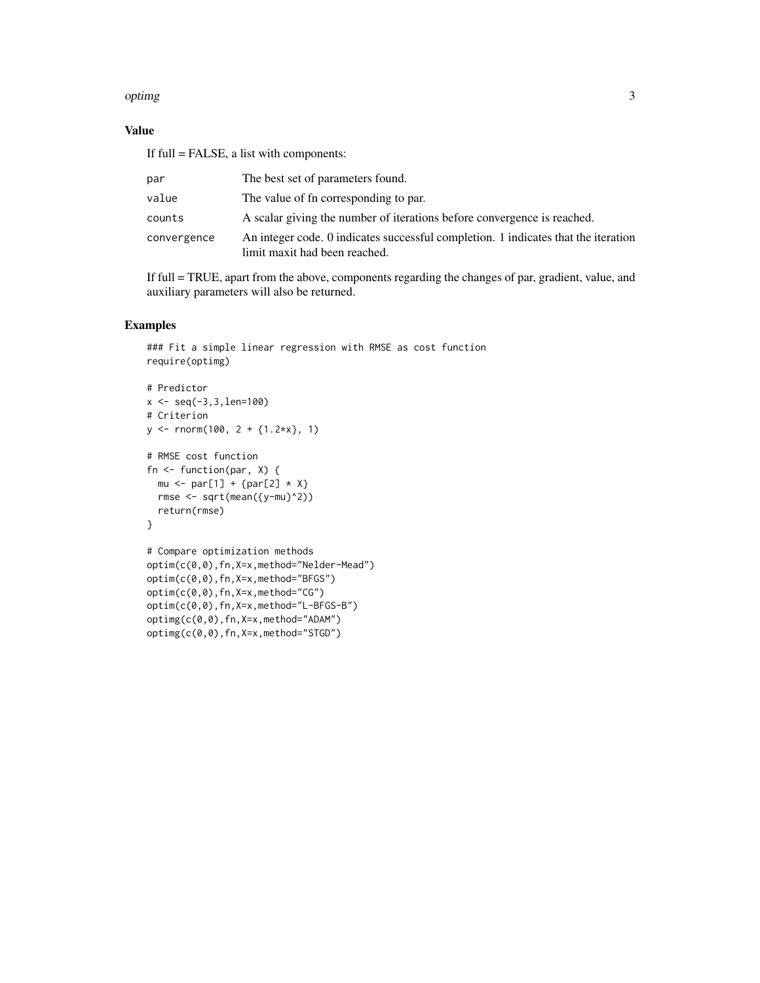#### optimg 3

#### Value

If full = FALSE, a list with components:

| par         | The best set of parameters found.                                                                                   |
|-------------|---------------------------------------------------------------------------------------------------------------------|
| value       | The value of fn corresponding to par.                                                                               |
| counts      | A scalar giving the number of iterations before convergence is reached.                                             |
| convergence | An integer code. 0 indicates successful completion. 1 indicates that the iteration<br>limit maxit had been reached. |

If full = TRUE, apart from the above, components regarding the changes of par, gradient, value, and auxiliary parameters will also be returned.

#### Examples

```
### Fit a simple linear regression with RMSE as cost function
require(optimg)
# Predictor
x \leftarrow \text{seq}(-3, 3, \text{len}=100)# Criterion
y <- rnorm(100, 2 + {1.2*x}, 1)
# RMSE cost function
fn <- function(par, X) {
 mu \leftarrow par[1] + {par[2] * X}rmse <- sqrt(mean({y-mu}^2))
  return(rmse)
}
# Compare optimization methods
optim(c(0,0),fn,X=x,method="Nelder-Mead")
optim(c(0,0),fn,X=x,method="BFGS")
optim(c(0,0),fn,X=x,method="CG")
optim(c(0,0),fn,X=x,method="L-BFGS-B")
optimg(c(0,0),fn,X=x,method="ADAM")
```
optimg(c(0,0),fn,X=x,method="STGD")